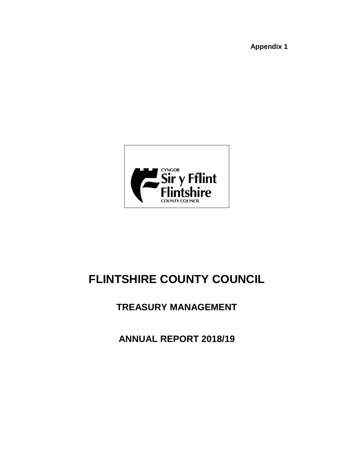**Appendix 1**



# **FLINTSHIRE COUNTY COUNCIL**

# **TREASURY MANAGEMENT**

**ANNUAL REPORT 2018/19**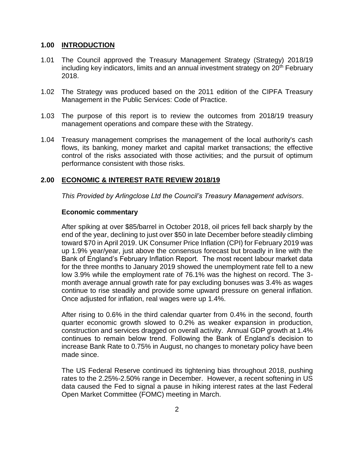## **1.00 INTRODUCTION**

- 1.01 The Council approved the Treasury Management Strategy (Strategy) 2018/19 including key indicators, limits and an annual investment strategy on  $20<sup>th</sup>$  February 2018.
- 1.02 The Strategy was produced based on the 2011 edition of the CIPFA Treasury Management in the Public Services: Code of Practice.
- 1.03 The purpose of this report is to review the outcomes from 2018/19 treasury management operations and compare these with the Strategy.
- 1.04 Treasury management comprises the management of the local authority's cash flows, its banking, money market and capital market transactions; the effective control of the risks associated with those activities; and the pursuit of optimum performance consistent with those risks.

## **2.00 ECONOMIC & INTEREST RATE REVIEW 2018/19**

*This Provided by Arlingclose Ltd the Council's Treasury Management advisors*.

#### **Economic commentary**

After spiking at over \$85/barrel in October 2018, oil prices fell back sharply by the end of the year, declining to just over \$50 in late December before steadily climbing toward \$70 in April 2019. UK Consumer Price Inflation (CPI) for February 2019 was up 1.9% year/year, just above the consensus forecast but broadly in line with the Bank of England's February Inflation Report. The most recent labour market data for the three months to January 2019 showed the unemployment rate fell to a new low 3.9% while the employment rate of 76.1% was the highest on record. The 3 month average annual growth rate for pay excluding bonuses was 3.4% as wages continue to rise steadily and provide some upward pressure on general inflation. Once adjusted for inflation, real wages were up 1.4%.

After rising to 0.6% in the third calendar quarter from 0.4% in the second, fourth quarter economic growth slowed to 0.2% as weaker expansion in production, construction and services dragged on overall activity. Annual GDP growth at 1.4% continues to remain below trend. Following the Bank of England's decision to increase Bank Rate to 0.75% in August, no changes to monetary policy have been made since.

The US Federal Reserve continued its tightening bias throughout 2018, pushing rates to the 2.25%-2.50% range in December. However, a recent softening in US data caused the Fed to signal a pause in hiking interest rates at the last Federal Open Market Committee (FOMC) meeting in March.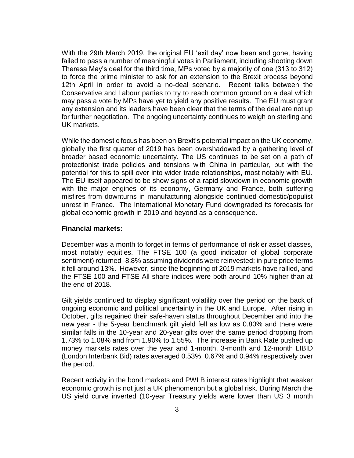With the 29th March 2019, the original EU 'exit day' now been and gone, having failed to pass a number of meaningful votes in Parliament, including shooting down Theresa May's deal for the third time, MPs voted by a majority of one (313 to 312) to force the prime minister to ask for an extension to the Brexit process beyond 12th April in order to avoid a no-deal scenario. Recent talks between the Conservative and Labour parties to try to reach common ground on a deal which may pass a vote by MPs have yet to yield any positive results. The EU must grant any extension and its leaders have been clear that the terms of the deal are not up for further negotiation. The ongoing uncertainty continues to weigh on sterling and UK markets.

While the domestic focus has been on Brexit's potential impact on the UK economy, globally the first quarter of 2019 has been overshadowed by a gathering level of broader based economic uncertainty. The US continues to be set on a path of protectionist trade policies and tensions with China in particular, but with the potential for this to spill over into wider trade relationships, most notably with EU. The EU itself appeared to be show signs of a rapid slowdown in economic growth with the major engines of its economy, Germany and France, both suffering misfires from downturns in manufacturing alongside continued domestic/populist unrest in France. The International Monetary Fund downgraded its forecasts for global economic growth in 2019 and beyond as a consequence.

#### **Financial markets:**

December was a month to forget in terms of performance of riskier asset classes, most notably equities. The FTSE 100 (a good indicator of global corporate sentiment) returned -8.8% assuming dividends were reinvested; in pure price terms it fell around 13%. However, since the beginning of 2019 markets have rallied, and the FTSE 100 and FTSE All share indices were both around 10% higher than at the end of 2018.

Gilt yields continued to display significant volatility over the period on the back of ongoing economic and political uncertainty in the UK and Europe. After rising in October, gilts regained their safe-haven status throughout December and into the new year - the 5-year benchmark gilt yield fell as low as 0.80% and there were similar falls in the 10-year and 20-year gilts over the same period dropping from 1.73% to 1.08% and from 1.90% to 1.55%. The increase in Bank Rate pushed up money markets rates over the year and 1-month, 3-month and 12-month LIBID (London Interbank Bid) rates averaged 0.53%, 0.67% and 0.94% respectively over the period.

Recent activity in the bond markets and PWLB interest rates highlight that weaker economic growth is not just a UK phenomenon but a global risk. During March the US yield curve inverted (10-year Treasury yields were lower than US 3 month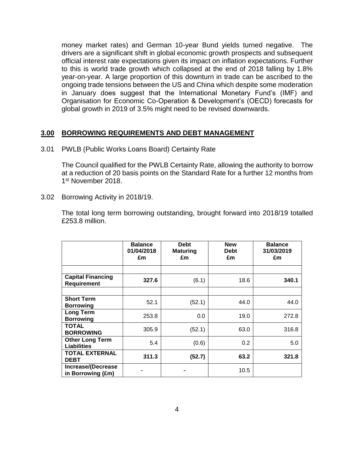money market rates) and German 10-year Bund yields turned negative. The drivers are a significant shift in global economic growth prospects and subsequent official interest rate expectations given its impact on inflation expectations. Further to this is world trade growth which collapsed at the end of 2018 falling by 1.8% year-on-year. A large proportion of this downturn in trade can be ascribed to the ongoing trade tensions between the US and China which despite some moderation in January does suggest that the International Monetary Fund's (IMF) and Organisation for Economic Co-Operation & Development's (OECD) forecasts for global growth in 2019 of 3.5% might need to be revised downwards.

# **3.00 BORROWING REQUIREMENTS AND DEBT MANAGEMENT**

3.01 PWLB (Public Works Loans Board) Certainty Rate

The Council qualified for the PWLB Certainty Rate, allowing the authority to borrow at a reduction of 20 basis points on the Standard Rate for a further 12 months from 1st November 2018.

3.02 Borrowing Activity in 2018/19.

The total long term borrowing outstanding, brought forward into 2018/19 totalled £253.8 million.

|                                              | <b>Balance</b><br>01/04/2018<br>£m | <b>Debt</b><br><b>Maturing</b><br>£m | <b>New</b><br><b>Debt</b><br>£m | <b>Balance</b><br>31/03/2019<br>£m |
|----------------------------------------------|------------------------------------|--------------------------------------|---------------------------------|------------------------------------|
|                                              |                                    |                                      |                                 |                                    |
| <b>Capital Financing</b><br>Requirement      | 327.6                              | (6.1)                                | 18.6                            | 340.1                              |
|                                              |                                    |                                      |                                 |                                    |
| <b>Short Term</b><br><b>Borrowing</b>        | 52.1                               | (52.1)                               | 44.0                            | 44.0                               |
| <b>Long Term</b><br><b>Borrowing</b>         | 253.8                              | 0.0                                  | 19.0                            | 272.8                              |
| <b>TOTAL</b><br><b>BORROWING</b>             | 305.9                              | (52.1)                               | 63.0                            | 316.8                              |
| <b>Other Long Term</b><br><b>Liabilities</b> | 5.4                                | (0.6)                                | 0.2                             | 5.0                                |
| <b>TOTAL EXTERNAL</b><br><b>DEBT</b>         | 311.3                              | (52.7)                               | 63.2                            | 321.8                              |
| Increase/(Decrease<br>in Borrowing (£m)      |                                    |                                      | 10.5                            |                                    |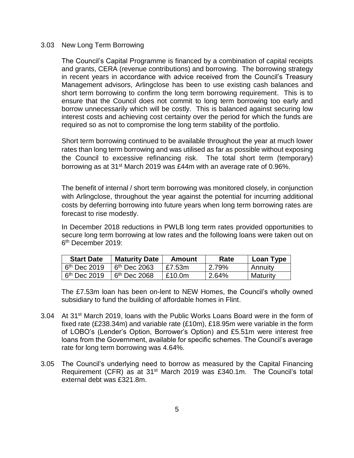#### 3.03 New Long Term Borrowing

The Council's Capital Programme is financed by a combination of capital receipts and grants, CERA (revenue contributions) and borrowing. The borrowing strategy in recent years in accordance with advice received from the Council's Treasury Management advisors, Arlingclose has been to use existing cash balances and short term borrowing to confirm the long term borrowing requirement. This is to ensure that the Council does not commit to long term borrowing too early and borrow unnecessarily which will be costly. This is balanced against securing low interest costs and achieving cost certainty over the period for which the funds are required so as not to compromise the long term stability of the portfolio.

Short term borrowing continued to be available throughout the year at much lower rates than long term borrowing and was utilised as far as possible without exposing the Council to excessive refinancing risk. The total short term (temporary) borrowing as at 31st March 2019 was £44m with an average rate of 0.96%.

The benefit of internal / short term borrowing was monitored closely, in conjunction with Arlingclose, throughout the year against the potential for incurring additional costs by deferring borrowing into future years when long term borrowing rates are forecast to rise modestly.

In December 2018 reductions in PWLB long term rates provided opportunities to secure long term borrowing at low rates and the following loans were taken out on 6 th December 2019:

| <b>Start Date</b> | <b>Maturity Date</b> | Amount | Rate  | Loan Type      |
|-------------------|----------------------|--------|-------|----------------|
| $6th$ Dec 2019    | $6th$ Dec 2063       | £7.53m | 2.79% | <b>Annuity</b> |
| $6th$ Dec 2019    | $6th$ Dec 2068       | £10.0m | 2.64% | Maturity       |

The £7.53m loan has been on-lent to NEW Homes, the Council's wholly owned subsidiary to fund the building of affordable homes in Flint.

- 3.04 At 31<sup>st</sup> March 2019, loans with the Public Works Loans Board were in the form of fixed rate (£238.34m) and variable rate (£10m), £18.95m were variable in the form of LOBO's (Lender's Option, Borrower's Option) and £5.51m were interest free loans from the Government, available for specific schemes. The Council's average rate for long term borrowing was 4.64%.
- 3.05 The Council's underlying need to borrow as measured by the Capital Financing Requirement (CFR) as at 31st March 2019 was £340.1m. The Council's total external debt was £321.8m.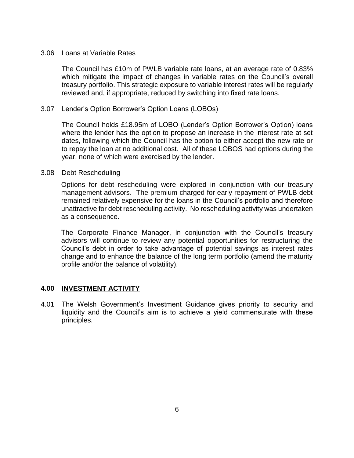#### 3.06 Loans at Variable Rates

The Council has £10m of PWLB variable rate loans, at an average rate of 0.83% which mitigate the impact of changes in variable rates on the Council's overall treasury portfolio. This strategic exposure to variable interest rates will be regularly reviewed and, if appropriate, reduced by switching into fixed rate loans.

#### 3.07 Lender's Option Borrower's Option Loans (LOBOs)

The Council holds £18.95m of LOBO (Lender's Option Borrower's Option) loans where the lender has the option to propose an increase in the interest rate at set dates, following which the Council has the option to either accept the new rate or to repay the loan at no additional cost. All of these LOBOS had options during the year, none of which were exercised by the lender.

#### 3.08 Debt Rescheduling

Options for debt rescheduling were explored in conjunction with our treasury management advisors. The premium charged for early repayment of PWLB debt remained relatively expensive for the loans in the Council's portfolio and therefore unattractive for debt rescheduling activity. No rescheduling activity was undertaken as a consequence.

The Corporate Finance Manager, in conjunction with the Council's treasury advisors will continue to review any potential opportunities for restructuring the Council's debt in order to take advantage of potential savings as interest rates change and to enhance the balance of the long term portfolio (amend the maturity profile and/or the balance of volatility).

#### **4.00 INVESTMENT ACTIVITY**

4.01 The Welsh Government's Investment Guidance gives priority to security and liquidity and the Council's aim is to achieve a yield commensurate with these principles.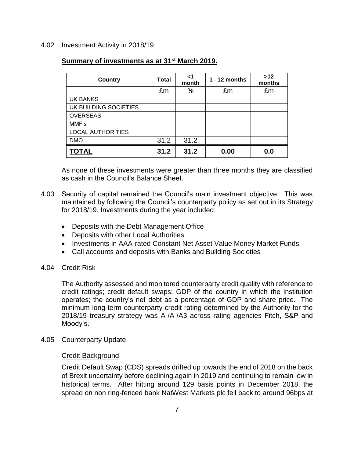#### 4.02 Investment Activity in 2018/19

# **Summary of investments as at 31st March 2019.**

| <b>Country</b>           | Total | <1<br>month | $1 - 12$ months | >12<br>months |
|--------------------------|-------|-------------|-----------------|---------------|
|                          | £m    | %           | £m              | £m            |
| UK BANKS                 |       |             |                 |               |
| UK BUILDING SOCIETIES    |       |             |                 |               |
| <b>OVERSEAS</b>          |       |             |                 |               |
| MMF's                    |       |             |                 |               |
| <b>LOCAL AUTHORITIES</b> |       |             |                 |               |
| <b>DMO</b>               | 31.2  | 31.2        |                 |               |
| TOTAL                    | 31.2  | 31.2        | 0.00            | 0.0           |

As none of these investments were greater than three months they are classified as cash in the Council's Balance Sheet.

- 4.03 Security of capital remained the Council's main investment objective. This was maintained by following the Council's counterparty policy as set out in its Strategy for 2018/19. Investments during the year included:
	- Deposits with the Debt Management Office
	- Deposits with other Local Authorities
	- Investments in AAA-rated Constant Net Asset Value Money Market Funds
	- Call accounts and deposits with Banks and Building Societies

#### 4.04 Credit Risk

The Authority assessed and monitored counterparty credit quality with reference to credit ratings; credit default swaps; GDP of the country in which the institution operates; the country's net debt as a percentage of GDP and share price. The minimum long-term counterparty credit rating determined by the Authority for the 2018/19 treasury strategy was A-/A-/A3 across rating agencies Fitch, S&P and Moody's.

4.05 Counterparty Update

#### Credit Background

Credit Default Swap (CDS) spreads drifted up towards the end of 2018 on the back of Brexit uncertainty before declining again in 2019 and continuing to remain low in historical terms. After hitting around 129 basis points in December 2018, the spread on non ring-fenced bank NatWest Markets plc fell back to around 96bps at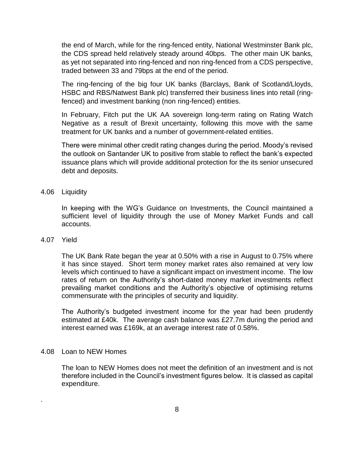the end of March, while for the ring-fenced entity, National Westminster Bank plc, the CDS spread held relatively steady around 40bps. The other main UK banks, as yet not separated into ring-fenced and non ring-fenced from a CDS perspective, traded between 33 and 79bps at the end of the period.

The ring-fencing of the big four UK banks (Barclays, Bank of Scotland/Lloyds, HSBC and RBS/Natwest Bank plc) transferred their business lines into retail (ringfenced) and investment banking (non ring-fenced) entities.

In February, Fitch put the UK AA sovereign long-term rating on Rating Watch Negative as a result of Brexit uncertainty, following this move with the same treatment for UK banks and a number of government-related entities.

There were minimal other credit rating changes during the period. Moody's revised the outlook on Santander UK to positive from stable to reflect the bank's expected issuance plans which will provide additional protection for the its senior unsecured debt and deposits.

#### 4.06 Liquidity

In keeping with the WG's Guidance on Investments, the Council maintained a sufficient level of liquidity through the use of Money Market Funds and call accounts.

#### 4.07 Yield

.

The UK Bank Rate began the year at 0.50% with a rise in August to 0.75% where it has since stayed. Short term money market rates also remained at very low levels which continued to have a significant impact on investment income. The low rates of return on the Authority's short-dated money market investments reflect prevailing market conditions and the Authority's objective of optimising returns commensurate with the principles of security and liquidity.

The Authority's budgeted investment income for the year had been prudently estimated at £40k. The average cash balance was £27.7m during the period and interest earned was £169k, at an average interest rate of 0.58%.

#### 4.08 Loan to NEW Homes

The loan to NEW Homes does not meet the definition of an investment and is not therefore included in the Council's investment figures below. It is classed as capital expenditure.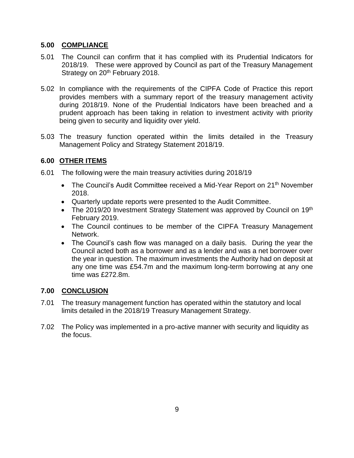# **5.00 COMPLIANCE**

- 5.01 The Council can confirm that it has complied with its Prudential Indicators for 2018/19. These were approved by Council as part of the Treasury Management Strategy on 20<sup>th</sup> February 2018.
- 5.02 In compliance with the requirements of the CIPFA Code of Practice this report provides members with a summary report of the treasury management activity during 2018/19. None of the Prudential Indicators have been breached and a prudent approach has been taking in relation to investment activity with priority being given to security and liquidity over yield.
- 5.03 The treasury function operated within the limits detailed in the Treasury Management Policy and Strategy Statement 2018/19.

# **6.00 OTHER ITEMS**

- 6.01 The following were the main treasury activities during 2018/19
	- The Council's Audit Committee received a Mid-Year Report on 21<sup>th</sup> November 2018.
	- Quarterly update reports were presented to the Audit Committee.
	- The 2019/20 Investment Strategy Statement was approved by Council on 19<sup>th</sup> February 2019.
	- The Council continues to be member of the CIPFA Treasury Management Network.
	- The Council's cash flow was managed on a daily basis. During the year the Council acted both as a borrower and as a lender and was a net borrower over the year in question. The maximum investments the Authority had on deposit at any one time was £54.7m and the maximum long-term borrowing at any one time was £272.8m.

# **7.00 CONCLUSION**

- 7.01 The treasury management function has operated within the statutory and local limits detailed in the 2018/19 Treasury Management Strategy.
- 7.02 The Policy was implemented in a pro-active manner with security and liquidity as the focus.